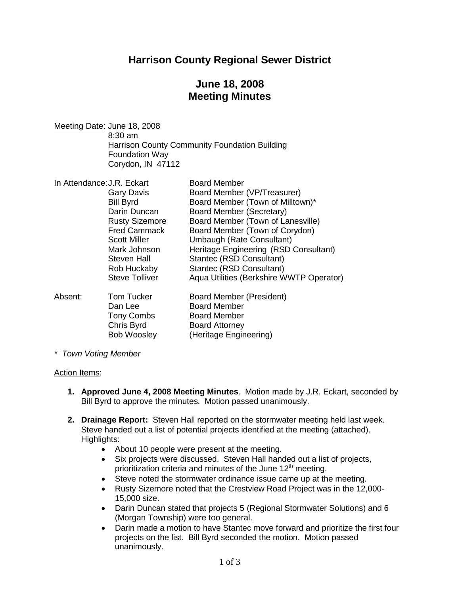## **Harrison County Regional Sewer District**

## **June 18, 2008 Meeting Minutes**

Meeting Date: June 18, 2008 8:30 am Harrison County Community Foundation Building Foundation Way Corydon, IN 47112

| In Attendance: J.R. Eckart |                       | <b>Board Member</b>                      |
|----------------------------|-----------------------|------------------------------------------|
|                            | Gary Davis            | Board Member (VP/Treasurer)              |
|                            | <b>Bill Byrd</b>      | Board Member (Town of Milltown)*         |
|                            | Darin Duncan          | Board Member (Secretary)                 |
|                            | <b>Rusty Sizemore</b> | Board Member (Town of Lanesville)        |
|                            | <b>Fred Cammack</b>   | Board Member (Town of Corydon)           |
|                            | <b>Scott Miller</b>   | Umbaugh (Rate Consultant)                |
|                            | Mark Johnson          | Heritage Engineering (RSD Consultant)    |
|                            | Steven Hall           | Stantec (RSD Consultant)                 |
|                            | Rob Huckaby           | Stantec (RSD Consultant)                 |
|                            | <b>Steve Tolliver</b> | Aqua Utilities (Berkshire WWTP Operator) |
| Absent:                    | <b>Tom Tucker</b>     | Board Member (President)                 |
|                            | Dan Lee               | <b>Board Member</b>                      |
|                            | <b>Tony Combs</b>     | <b>Board Member</b>                      |
|                            | Chris Byrd            | <b>Board Attorney</b>                    |
|                            | <b>Bob Woosley</b>    | (Heritage Engineering)                   |

*\* Town Voting Member*

#### Action Items:

- **1. Approved June 4, 2008 Meeting Minutes**. Motion made by J.R. Eckart, seconded by Bill Byrd to approve the minutes. Motion passed unanimously.
- **2. Drainage Report:** Steven Hall reported on the stormwater meeting held last week. Steve handed out a list of potential projects identified at the meeting (attached). Highlights:
	- About 10 people were present at the meeting.
	- Six projects were discussed. Steven Hall handed out a list of projects, prioritization criteria and minutes of the June  $12<sup>th</sup>$  meeting.
	- Steve noted the stormwater ordinance issue came up at the meeting.
	- Rusty Sizemore noted that the Crestview Road Project was in the 12,000- 15,000 size.
	- Darin Duncan stated that projects 5 (Regional Stormwater Solutions) and 6 (Morgan Township) were too general.
	- Darin made a motion to have Stantec move forward and prioritize the first four projects on the list. Bill Byrd seconded the motion. Motion passed unanimously.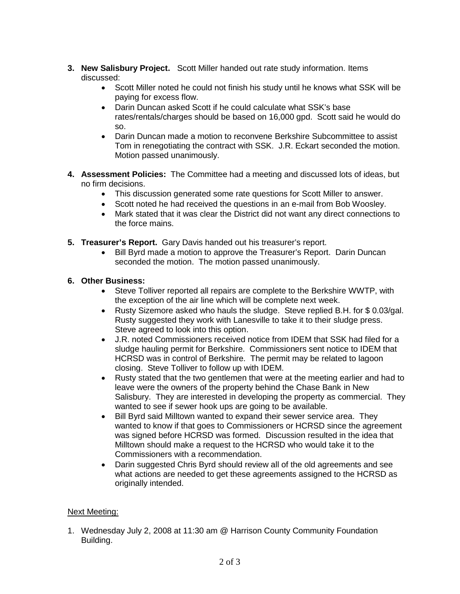- **3. New Salisbury Project.** Scott Miller handed out rate study information. Items discussed:
	- Scott Miller noted he could not finish his study until he knows what SSK will be paying for excess flow.
	- Darin Duncan asked Scott if he could calculate what SSK's base rates/rentals/charges should be based on 16,000 gpd. Scott said he would do so.
	- Darin Duncan made a motion to reconvene Berkshire Subcommittee to assist Tom in renegotiating the contract with SSK. J.R. Eckart seconded the motion. Motion passed unanimously.
- **4. Assessment Policies:** The Committee had a meeting and discussed lots of ideas, but no firm decisions.
	- This discussion generated some rate questions for Scott Miller to answer.
	- Scott noted he had received the questions in an e-mail from Bob Woosley.
	- Mark stated that it was clear the District did not want any direct connections to the force mains.
- **5. Treasurer's Report.** Gary Davis handed out his treasurer's report.
	- Bill Byrd made a motion to approve the Treasurer's Report. Darin Duncan seconded the motion. The motion passed unanimously.

### **6. Other Business:**

- Steve Tolliver reported all repairs are complete to the Berkshire WWTP, with the exception of the air line which will be complete next week.
- Rusty Sizemore asked who hauls the sludge. Steve replied B.H. for \$ 0.03/gal. Rusty suggested they work with Lanesville to take it to their sludge press. Steve agreed to look into this option.
- J.R. noted Commissioners received notice from IDEM that SSK had filed for a sludge hauling permit for Berkshire. Commissioners sent notice to IDEM that HCRSD was in control of Berkshire. The permit may be related to lagoon closing. Steve Tolliver to follow up with IDEM.
- Rusty stated that the two gentlemen that were at the meeting earlier and had to leave were the owners of the property behind the Chase Bank in New Salisbury. They are interested in developing the property as commercial. They wanted to see if sewer hook ups are going to be available.
- Bill Byrd said Milltown wanted to expand their sewer service area. They wanted to know if that goes to Commissioners or HCRSD since the agreement was signed before HCRSD was formed. Discussion resulted in the idea that Milltown should make a request to the HCRSD who would take it to the Commissioners with a recommendation.
- Darin suggested Chris Byrd should review all of the old agreements and see what actions are needed to get these agreements assigned to the HCRSD as originally intended.

### Next Meeting:

1. Wednesday July 2, 2008 at 11:30 am @ Harrison County Community Foundation Building.